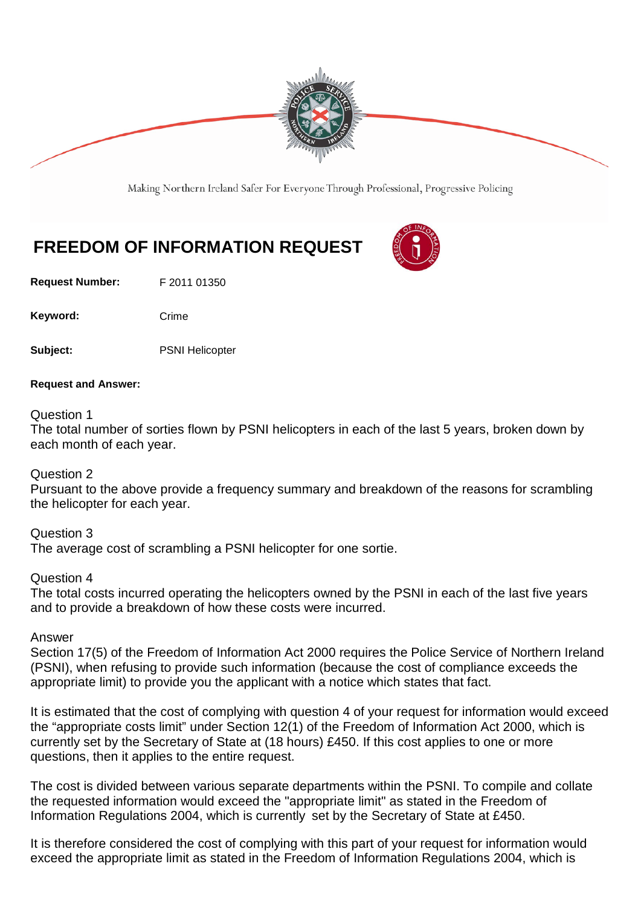

Making Northern Ireland Safer For Everyone Through Professional, Progressive Policing

## **FREEDOM OF INFORMATION REQUEST**

**Request Number:** F 2011 01350

Keyword: Crime

**Subject:** PSNI Helicopter

**Request and Answer:**

Question 1

The total number of sorties flown by PSNI helicopters in each of the last 5 years, broken down by each month of each year.

Question 2

Pursuant to the above provide a frequency summary and breakdown of the reasons for scrambling the helicopter for each year.

Question 3 The average cost of scrambling a PSNI helicopter for one sortie.

Question 4

The total costs incurred operating the helicopters owned by the PSNI in each of the last five years and to provide a breakdown of how these costs were incurred.

Answer

Section 17(5) of the Freedom of Information Act 2000 requires the Police Service of Northern Ireland (PSNI), when refusing to provide such information (because the cost of compliance exceeds the appropriate limit) to provide you the applicant with a notice which states that fact.

It is estimated that the cost of complying with question 4 of your request for information would exceed the "appropriate costs limit" under Section 12(1) of the Freedom of Information Act 2000, which is currently set by the Secretary of State at (18 hours) £450. If this cost applies to one or more questions, then it applies to the entire request.

The cost is divided between various separate departments within the PSNI. To compile and collate the requested information would exceed the "appropriate limit" as stated in the Freedom of Information Regulations 2004, which is currently set by the Secretary of State at £450.

It is therefore considered the cost of complying with this part of your request for information would exceed the appropriate limit as stated in the Freedom of Information Regulations 2004, which is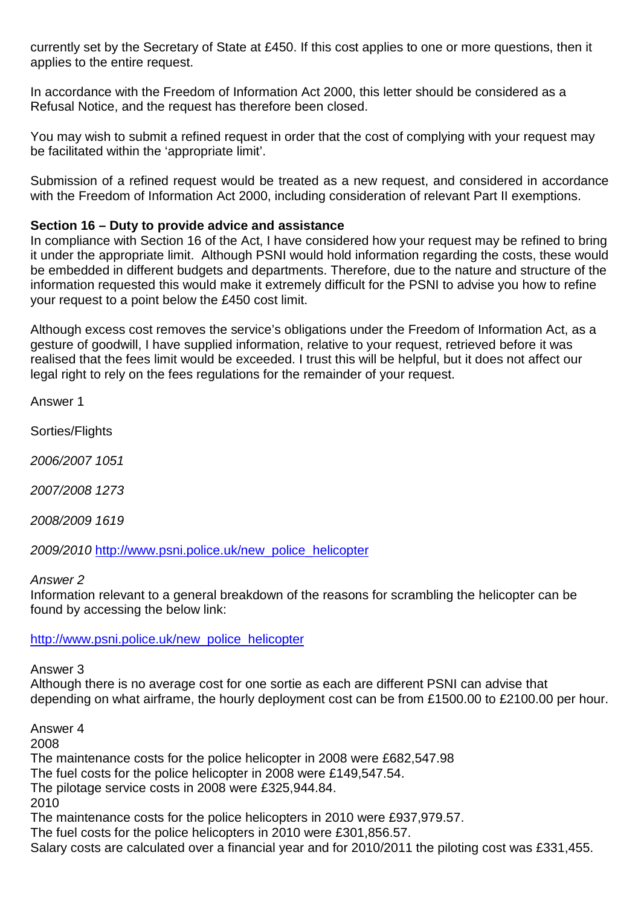currently set by the Secretary of State at £450. If this cost applies to one or more questions, then it applies to the entire request.

In accordance with the Freedom of Information Act 2000, this letter should be considered as a Refusal Notice, and the request has therefore been closed.

You may wish to submit a refined request in order that the cost of complying with your request may be facilitated within the 'appropriate limit'.

Submission of a refined request would be treated as a new request, and considered in accordance with the Freedom of Information Act 2000, including consideration of relevant Part II exemptions.

## **Section 16 – Duty to provide advice and assistance**

In compliance with Section 16 of the Act, I have considered how your request may be refined to bring it under the appropriate limit. Although PSNI would hold information regarding the costs, these would be embedded in different budgets and departments. Therefore, due to the nature and structure of the information requested this would make it extremely difficult for the PSNI to advise you how to refine your request to a point below the £450 cost limit.

Although excess cost removes the service's obligations under the Freedom of Information Act, as a gesture of goodwill, I have supplied information, relative to your request, retrieved before it was realised that the fees limit would be exceeded. I trust this will be helpful, but it does not affect our legal right to rely on the fees regulations for the remainder of your request.

Answer 1

Sorties/Flights

*2006/2007 1051*

*2007/2008 1273*

*2008/2009 1619*

*2009/2010* [http://www.psni.police.uk/new\\_police\\_helicopter](http://www.psni.police.uk/new_police_helicopter)

## *Answer 2*

Information relevant to a general breakdown of the reasons for scrambling the helicopter can be found by accessing the below link:

## [http://www.psni.police.uk/new\\_police\\_helicopter](http://www.psni.police.uk/new_police_helicopter)

Answer 3

Although there is no average cost for one sortie as each are different PSNI can advise that depending on what airframe, the hourly deployment cost can be from £1500.00 to £2100.00 per hour.

Answer 4

2008

The maintenance costs for the police helicopter in 2008 were £682,547.98

The fuel costs for the police helicopter in 2008 were £149,547.54.

The pilotage service costs in 2008 were £325,944.84.

2010

The maintenance costs for the police helicopters in 2010 were £937,979.57.

The fuel costs for the police helicopters in 2010 were £301,856.57.

Salary costs are calculated over a financial year and for 2010/2011 the piloting cost was £331,455.